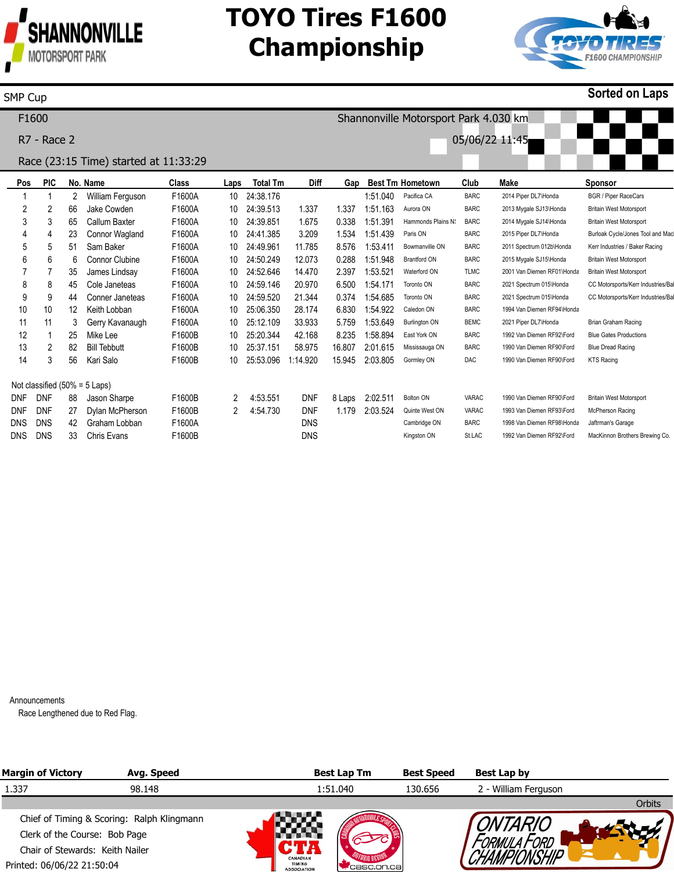

# **TOYO Tires F1600 Championship**



#### SMP Cup

**Sorted on Laps**

| F <sub>1600</sub>                     |            |            |                   |                       |        |      |                 | Shannonville Motorsport Park 4.030 km |        |                         |                      |             |                            |                                   |  |
|---------------------------------------|------------|------------|-------------------|-----------------------|--------|------|-----------------|---------------------------------------|--------|-------------------------|----------------------|-------------|----------------------------|-----------------------------------|--|
| <b>R7 - Race 2</b>                    |            |            |                   |                       |        |      |                 | 05/06/22 11:45                        |        |                         |                      |             |                            |                                   |  |
| Race (23:15 Time) started at 11:33:29 |            |            |                   |                       |        |      |                 |                                       |        |                         |                      |             |                            |                                   |  |
| <b>PIC</b><br>No. Name<br>Pos         |            |            |                   |                       | Class  | Laps | <b>Total Tm</b> | <b>Diff</b>                           | Gap    | <b>Best Tm Hometown</b> |                      | Club        | <b>Make</b>                | <b>Sponsor</b>                    |  |
|                                       |            |            | 2                 | William Ferguson      | F1600A | 10   | 24:38.176       |                                       |        | 1:51.040                | Pacifica CA          | <b>BARC</b> | 2014 Piper DL7\Honda       | <b>BGR / Piper RaceCars</b>       |  |
|                                       | 2          | 2          | 66                | Jake Cowden           | F1600A | 10   | 24:39.513       | 1.337                                 | 1.337  | 1:51.163                | Aurora ON            | <b>BARC</b> | 2013 Mygale SJ13\Honda     | <b>Britain West Motorsport</b>    |  |
|                                       | 3          | 3          | 65                | Callum Baxter         | F1600A | 10   | 24:39.851       | 1.675                                 | 0.338  | 1:51.391                | Hammonds Plains N    | <b>BARC</b> | 2014 Mygale SJ14\Honda     | <b>Britain West Motorsport</b>    |  |
|                                       | 4          | 4          | 23                | Connor Wagland        | F1600A | 10   | 24:41.385       | 3.209                                 | 1.534  | 1:51.439                | Paris ON             | <b>BARC</b> | 2015 Piper DL7\Honda       | Burloak Cycle/Jones Tool and Mac  |  |
|                                       | 5          | 5          | 51                | Sam Baker             | F1600A | 10   | 24:49.961       | 11.785                                | 8.576  | 1:53.411                | Bowmanville ON       | <b>BARC</b> | 2011 Spectrum 012b\Honda   | Kerr Industries / Baker Racing    |  |
|                                       | 6          | 6          | 6                 | <b>Connor Clubine</b> | F1600A | 10   | 24:50.249       | 12.073                                | 0.288  | 1:51.948                | <b>Brantford ON</b>  | <b>BARC</b> | 2015 Mygale SJ15\Honda     | <b>Britain West Motorsport</b>    |  |
|                                       |            |            | 35                | James Lindsay         | F1600A | 10   | 24:52.646       | 14.470                                | 2.397  | 1:53.521                | Waterford ON         | <b>TLMC</b> | 2001 Van Diemen RF01\Honda | <b>Britain West Motorsport</b>    |  |
|                                       | 8          | 8          | 45                | Cole Janeteas         | F1600A | 10   | 24:59.146       | 20.970                                | 6.500  | 1:54.171                | Toronto ON           | <b>BARC</b> | 2021 Spectrum 015\Honda    | CC Motorsports/Kerr Industries/Ba |  |
|                                       | 9          | 9          | 44                | Conner Janeteas       | F1600A | 10   | 24:59.520       | 21.344                                | 0.374  | 1:54.685                | Toronto ON           | <b>BARC</b> | 2021 Spectrum 015\Honda    | CC Motorsports/Kerr Industries/Ba |  |
|                                       | 10         | 10         | $12 \overline{ }$ | Keith Lobban          | F1600A | 10   | 25:06.350       | 28.174                                | 6.830  | 1:54.922                | Caledon ON           | <b>BARC</b> | 1994 Van Diemen RF94\Honda |                                   |  |
|                                       | 11         | 11         | 3                 | Gerry Kavanaugh       | F1600A | 10   | 25:12.109       | 33.933                                | 5.759  | 1:53.649                | <b>Burlington ON</b> | <b>BEMC</b> | 2021 Piper DL7\Honda       | Brian Graham Racing               |  |
|                                       | 12         |            | 25                | Mike Lee              | F1600B | 10   | 25:20.344       | 42.168                                | 8.235  | 1:58.894                | East York ON         | <b>BARC</b> | 1992 Van Diemen RF92\Ford  | <b>Blue Gates Productions</b>     |  |
|                                       | 13         | 2          | 82                | <b>Bill Tebbutt</b>   | F1600B | 10   | 25:37.151       | 58.975                                | 16.807 | 2:01.615                | Mississauga ON       | <b>BARC</b> | 1990 Van Diemen RF90\Ford  | <b>Blue Dread Racing</b>          |  |
|                                       | 14         | 3          | 56                | Kari Salo             | F1600B | 10   | 25:53.096       | 1:14.920                              | 15.945 | 2:03.805                | Gormley ON           | DAC         | 1990 Van Diemen RF90\Ford  | <b>KTS Racing</b>                 |  |
| Not classified $(50\% = 5$ Laps)      |            |            |                   |                       |        |      |                 |                                       |        |                         |                      |             |                            |                                   |  |
|                                       | <b>DNF</b> | <b>DNF</b> | 88                | Jason Sharpe          | F1600B | 2    | 4:53.551        | <b>DNF</b>                            | 8 Laps | 2:02.511                | Bolton ON            | VARAC       | 1990 Van Diemen RF90\Ford  | <b>Britain West Motorsport</b>    |  |
|                                       | <b>DNF</b> | <b>DNF</b> | 27                | Dylan McPherson       | F1600B |      | 4:54.730        | <b>DNF</b>                            | 1.179  | 2:03.524                | Quinte West ON       | VARAC       | 1993 Van Diemen RF93\Ford  | <b>McPherson Racing</b>           |  |
|                                       | <b>DNS</b> | <b>DNS</b> | 42                | Graham Lobban         | F1600A |      |                 | <b>DNS</b>                            |        |                         | Cambridge ON         | <b>BARC</b> | 1998 Van Diemen RF98\Honda | Jaftrman's Garage                 |  |
|                                       | <b>DNS</b> | <b>DNS</b> | 33                | <b>Chris Evans</b>    | F1600B |      |                 | DNS                                   |        |                         | Kingston ON          | St.LAC      | 1992 Van Diemen RF92\Ford  | MacKinnon Brothers Brewing Co.    |  |

Announcements

Race Lengthened due to Red Flag.

| <b>Margin of Victory</b>                   | Avg. Speed |                                                        | <b>Best Lap Tm</b> | <b>Best Speed</b> | Best Lap by          |        |
|--------------------------------------------|------------|--------------------------------------------------------|--------------------|-------------------|----------------------|--------|
| 1.337                                      | 98.148     |                                                        | 1:51.040           | 130.656           | 2 - William Ferguson |        |
|                                            |            |                                                        |                    |                   |                      | Orbits |
| Chief of Timing & Scoring: Ralph Klingmann |            |                                                        |                    |                   |                      |        |
| Clerk of the Course: Bob Page              |            |                                                        |                    |                   |                      |        |
| Chair of Stewards: Keith Nailer            |            |                                                        |                    |                   |                      |        |
| Printed: 06/06/22 21:50:04                 |            | <b>CANADIAN</b><br><b>TIMING</b><br><b>ASSOCIATION</b> | casc.on.cal        |                   |                      |        |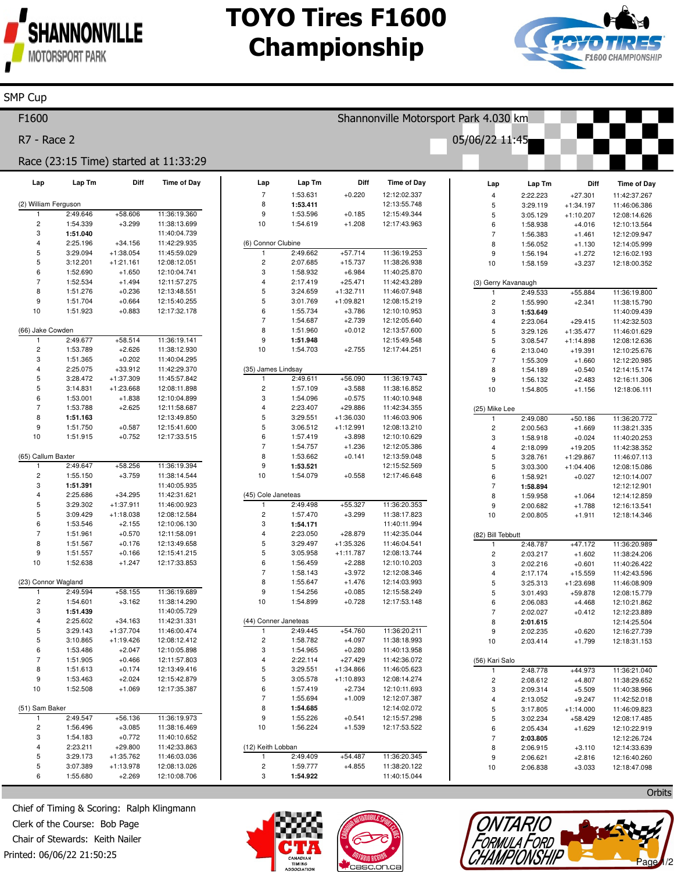

**SMP Cup** 

### **TOYO Tires F1600 Championship**



#### F1600 Shannonville Motorsport Park 4.030 km R7 - Race 2 05/06/22 11:45 Race (23:15 Time) started at 11:33:29 Lap Tm Diff **Time of Day** Lap Tm Diff **Time of Day** Lap Lap Diff Time of Day Lap Lap Tm  $\overline{7}$ 1:53.631  $+0.220$ 12:12:02.337 2:22.223  $+27.301$  $\overline{4}$ 11:42:37.267 (2) William Ferguson 8 1:53.411 12:13:55.748 5 3:29.119  $+1:34.197$ 11:46:06.386 2:49.646  $+58606$ 11:36:19.360  $\mathbf{q}$ 1:53.596  $+0.185$ 12:15:49.344 5  $3:05.129$  $+1:10.207$ 12:08:14.626  $\overline{c}$ 1:54.339  $+3.299$ 11:38:13.699  $10$ 1:54.619  $+1.208$ 12:17:43.963 12:10:13.564 6 1:58.938  $+4.016$ 3 1:51.040 11:40:04.739 1:56.383  $+1.461$ 12:12:09.947  $\overline{7}$  $\overline{A}$ 2:25.196  $+34,156$ 11:42:29.935 (6) Connor Clubine 8 1:56.052  $+1.130$ 12:14:05.999 5 3:29.094  $+1:38.054$ 11:45:59.029 2:49.662  $+57.714$ 11:36:19.253  $\mathsf{q}$ 1:56.194  $+1.272$ 12:16:02.193 5 3:12.201  $\overline{c}$ 2:07.685  $+1:21.161$ 12:08:12.051  $+15.737$ 11:38:26.938  $10$ 1:58.159  $+3.237$ 12:18:00.352 1:52.690  $+1.650$ 12:10:04.741  $\ensuremath{\mathsf{3}}$ 1:58.932  $+6.984$ 11:40:25.870 6 1:52.534  $+1.494$ 12:11:57.275  $\overline{4}$ 2:17.419  $+25.471$ 11:42:43.289 (3) Gerry Kavanaugh 8 1:51.276  $+0.236$ 12:13:48.551 5 3:24.659  $+1:32.711$ 11:46:07.948 2:49.533  $+55.884$ 11:36:19.800  $\overline{1}$  $\mathbf{q}$ 1:51.704  $+0.664$ 12:15:40.255 5 3:01.769  $+1:09.821$ 12:08:15.219  $\overline{c}$ 1:55.990  $+2.341$ 11:38:15.790  $10$ 1:51.923  $+0.883$ 12:17:32.178 1:55.734  $+3.786$ 12:10:10.953 6 3 1:53.649 11:40:09.439  $\overline{7}$ 1:54.687  $+2.739$ 12:12:05.640  $\overline{A}$ 2:23.064  $+29415$ 11:42:32.503 (66) Jake Cowden 8 1:51.960  $+0.012$ 12:13:57.600 5 3:29.126  $+1:35.477$ 11:46:01.629 2:49.677  $+58.514$ 11:36:19.141 9 1:51.948 12:15:49.548 3:08.547  $+1:14.898$ 12:08:12.636 5  $10$  $\overline{2}$ 1:53.789  $+2.626$ 11:38:12.930 1:54.703  $+2.755$ 12:17:44.251 2:13.040  $+19.391$ 12:10:25.676 6 3 1:51.365  $+0.202$ 11:40:04.295  $\overline{7}$ 1:55.309  $+1.660$ 12:12:20.985  $\overline{4}$ 2:25.075  $+33.912$ 11:42:29.370 (35) James Lindsay 8 1:54.189  $+0.540$ 12:14:15.174 3:28.472  $+1:37.309$ 2:49.611  $+56.090$ 11:36:19.743 5 11:45:57.842  $\mathbf{1}$  $\mathbf{q}$ 1:56.132  $+2.483$ 12:16:11.306  $\overline{5}$ 3:14.831  $+1:23.668$ 12:08:11.898  $\mathfrak{p}$ 1:57.109  $+3588$ 11:38:16.852  $10$ 1:54.805  $+1.156$ 12:18:06.111 6 1:53.001  $+1.838$ 12:10:04.899 3 1:54.096  $+0.575$ 11:40:10.948 1:53.788  $+2.625$ 2:23.407  $+29.886$ 11:42:34.355 7 12:11:58.687  $\overline{4}$ (25) Mike Lee 8 1:51.163 12:13:49.850 3:29.551  $+1:36.030$ 11:46:03.906 5 2:49.080  $+50.186$ 11:36:20.772  $+0.587$  $\mathbf{g}$ 1:51.750 12:15:41.600 5 3:06.512  $+1:12.991$ 12:08:13.210  $\overline{2}$ 2:00.563  $+1.669$ 11:38:21.335  $10$ 1:51.915  $+0.752$ 12:17:33.515  $6\phantom{1}6$ 1:57.419  $+3.898$ 12:10:10.629 3 1:58.918  $+0.024$ 11:40:20.253  $\overline{7}$ 1:54.757  $+1.236$ 12:12:05.386  $\overline{4}$ 2:18.099  $+19.205$ 11:42:38.352 (65) Callum Baxter 8 1:53.662  $+0.141$ 12:13:59.048 5 3:28.761  $+1:29.867$ 11:46:07.113  $+58.256$ 11:36:19.394  $\overline{9}$ 12:15:52.569  $2:49.647$ 1:53.521  $\overline{5}$ 3:03.300  $+1:04.406$ 12:08:15.086 1  $\overline{c}$ 1:55.150  $+3.759$ 11:38:14.544  $10$ 1:54.079  $+0.558$ 12:17:46.648 6 1:58.921  $+0.027$ 12:10:14.007 3 1:51.391 11:40:05.935 1:58.894  $\overline{7}$ 12:12:12.901 (45) Cole Janeteas  $+1.064$  $\overline{4}$ 2:25.686  $+34.295$ 11:42:31.621 8 1:59.958 12:14:12.859 5 3:29.302  $+1:37.911$ 11:46:00.923  $2.49498$  $+55.327$ 11:36:20.353 9 2:00.682  $+1.788$ 12:16:13.541 5 3:09.429  $+1:18.038$ 12:08:12.584  $\overline{c}$ 1:57.470  $+3.299$ 11:38:17.823  $10$ 2:00.805  $+1.911$ 12:18:14.346 6 1:53.546 1:54.171 11:40:11.994  $+2.155$ 12:10:06.130 3  $\overline{7}$ 1:51.961  $+0.570$ 12:11:58.091  $\overline{A}$  $2.23050$ +28.879 11:42:35.044 (82) Bill Tebbutt 8 1:51.567  $+0.176$ 12:13:49.658 5 3:29.497  $+1:35.326$ 11:46:04.541 2:48.787  $+47.172$ 11:36:20.989 9 1:51.557  $+0.166$ 12:15:41.215 5 3:05.958 12:08:13.744  $+1.602$  $+1:11.787$  $\overline{2}$ 2:03.217 11:38:24.206  $10$ 1:52.638  $+1.247$ 12:17:33.853 1:56.459  $+2.288$ 12:10:10.203 6  $\overline{3}$ 2:02.216  $+0.601$ 11:40:26.422 1:58.143  $+3.972$ 12:12:08.346  $+15.559$ 11:42:43.596  $\overline{4}$ 2:17.174 (23) Connor Wagland 8 1:55.647  $+1.476$ 12:14:03.993  $\overline{5}$ 3:25.313  $+1:23.698$ 11:46:08.909  $2.49594$  $+58.155$ 11:36:19.689  $\mathbf{q}$ 1:54.256  $+0.085$ 12:15:58.249 5 3:01.493  $+59.878$ 12:08:15.779 1:54.601 11:38:14.290  $10$ 1:54.899  $+0.728$ 12:17:53.148  $\overline{2}$  $+3.162$ 6 2:06.083  $+4.468$ 12:10:21.862  $\overline{3}$ 11:40:05.729 1:51.439  $\overline{7}$ 2:02.027  $+0.412$ 12:12:23.889  $\overline{4}$ 2:25.602  $+34.163$ 11:42:31.331 (44) Conner Janeteas 8 2:01.615 12:14:25.504 5 3:29.143  $+1:37.704$ 11:46:00.474 2:49.445  $+54.760$ 11:36:20.211 2:02.235 9  $+0.620$ 12:16:27.739 11:38:18.993 5 3:10.865  $+1:19.426$ 12:08:12.412  $\overline{2}$ 1:58.782  $+4.097$  $10$ 2:03.414  $+1.799$ 12:18:31.153  $+2.047$ 6 1:53.486 12:10:05.898 3 1:54.965  $+0.280$ 11:40:13.958  $\overline{7}$ 1:51.905  $+0.466$ 12:11:57.803 2:22.114  $+27.429$ 11:42:36.072 (56) Kari Salo 8 1:51.613  $\overline{5}$ 3:29.551  $+1:34.866$  $+0.174$ 12:13:49.416 11:46:05.623 2:48.778  $+44.973$ 11:36:21.040  $\overline{1}$  $\mathsf{Q}$ 1:53.463  $+2.024$ 12:15:42.879 5 3:05.578  $+1:10.893$ 12:08:14.274  $\overline{c}$ 2:08.612  $+4.807$ 11:38:29.652  $10$ 1:52.508  $+1.069$ 12:17:35.387 6 1:57.419  $+2.734$ 12:10:11.693 2:09.314  $+5.509$ 11:40:38.966 3 1:55.694  $+1.009$ 7 12:12:07.387  $\overline{4}$ 2:13.052  $+9.247$ 11:42:52.018 (51) Sam Baker  $\bf8$ 1:54.685 12:14:02.072 5 3:17.805  $+1:14.000$ 11:46:09.823  $+0.541$  $2:49.547$  $+56.136$ 11:36:19.973 9 1:55.226 12:15:57.298 5 3:02.234  $+58.429$ 12:08:17.485  $10$ 1:56.224  $+1.539$ 12:17:53.522  $\overline{c}$ 1:56.496  $+3.085$ 11:38:16.469 ĥ 2:05.434  $+1.629$ 12:10:22.919 3 1:54.183  $+0.772$ 11:40:10.652  $\overline{7}$ 2:03.805 12:12:26.724 2:23.211  $+29.800$ (12) Keith Lobban 11:42:33.863  $\overline{4}$ 8 2:06.915  $+3.110$ 12:14:33.639  $+1:35.762$ 2:49.409  $+54.487$ 11:36:20.345 5 3:29.173 11:46:03.036 1  $\mathsf{Q}$ 2:06.621  $+2.816$ 12:16:40.260 5 3:07.389  $+1:13.978$ 12:08:13.026  $\overline{c}$ 1:59.777  $+4.855$ 11:38:20.122  $10$ 2:06.838  $+3.033$ 12:18:47.098 6 1:55.680  $+2.269$ 12:10:08.706 3 1:54.922 11:40:15.044

Chief of Timing & Scoring: Ralph Klingmann Clerk of the Course: Bob Page Chair of Stewards: Keith Nailer Printed: 06/06/22 21:50:25





Orbits ONTARIO Formula Ford CHAMPIONSHIP Page 1/2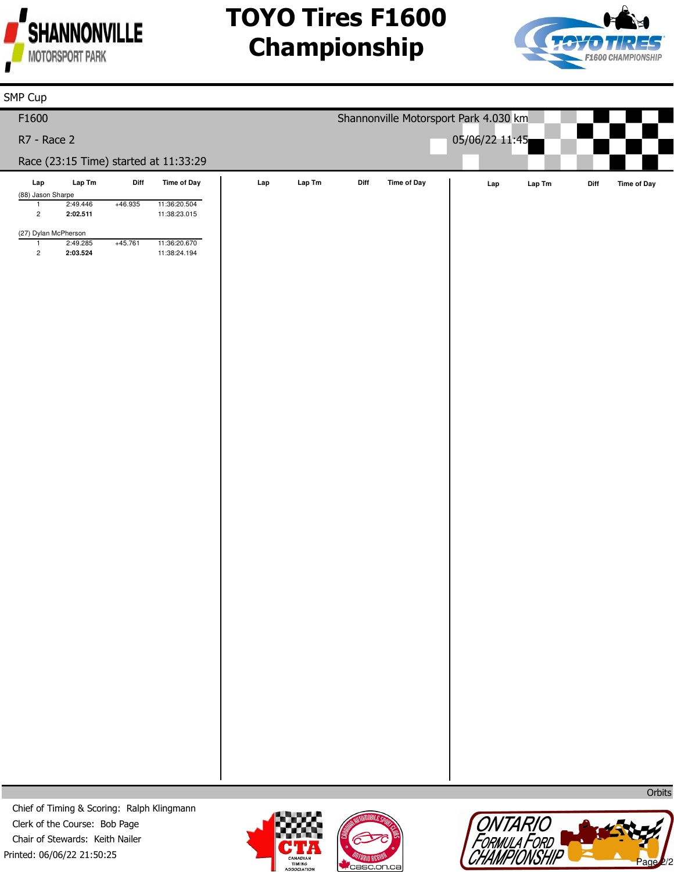

# **TOYO Tires F1600 Championship**



| SMP Cup                                          |                                                                   |           |                                       |     |       |                                       |             |     |                                                                      |      |             |  |  |
|--------------------------------------------------|-------------------------------------------------------------------|-----------|---------------------------------------|-----|-------|---------------------------------------|-------------|-----|----------------------------------------------------------------------|------|-------------|--|--|
| F1600                                            |                                                                   |           |                                       |     |       | Shannonville Motorsport Park 4.030 km |             |     |                                                                      |      |             |  |  |
| R7 - Race 2                                      |                                                                   |           |                                       |     |       | 05/06/22 11:45                        |             |     |                                                                      |      |             |  |  |
|                                                  |                                                                   |           | Race (23:15 Time) started at 11:33:29 |     |       |                                       |             |     |                                                                      |      |             |  |  |
| $\ensuremath{\mathsf{Lap}}$<br>(88) Jason Sharpe | $\ensuremath{\mathsf{Lap}}\xspace\ensuremath{\mathsf{Tm}}\xspace$ | Diff      | Time of Day                           | Lap | LapTm | Diff                                  | Time of Day | Lap | $\ensuremath{\mathsf{Lap}}\xspace\, \ensuremath{\mathsf{Tm}}\xspace$ | Diff | Time of Day |  |  |
| $\mathbf{1}$<br>$\overline{2}$                   | 2:49.446<br>2:02.511                                              | +46.935   | 11:36:20.504<br>11:38:23.015          |     |       |                                       |             |     |                                                                      |      |             |  |  |
| (27) Dylan McPherson                             |                                                                   |           |                                       |     |       |                                       |             |     |                                                                      |      |             |  |  |
| $\mathbf{1}$<br>$\overline{c}$                   | 2:49.285<br>2:03.524                                              | $+45.761$ | 11:36:20.670<br>11:38:24.194          |     |       |                                       |             |     |                                                                      |      |             |  |  |
|                                                  |                                                                   |           |                                       |     |       |                                       |             |     |                                                                      |      |             |  |  |
|                                                  |                                                                   |           |                                       |     |       |                                       |             |     |                                                                      |      |             |  |  |
|                                                  |                                                                   |           |                                       |     |       |                                       |             |     |                                                                      |      |             |  |  |
|                                                  |                                                                   |           |                                       |     |       |                                       |             |     |                                                                      |      |             |  |  |
|                                                  |                                                                   |           |                                       |     |       |                                       |             |     |                                                                      |      |             |  |  |

Printed: 06/06/22 21:50:25 Chief of Timing & Scoring: Ralph Klingmann Clerk of the Course: Bob Page Chair of Stewards: Keith Nailer







**Orbits**